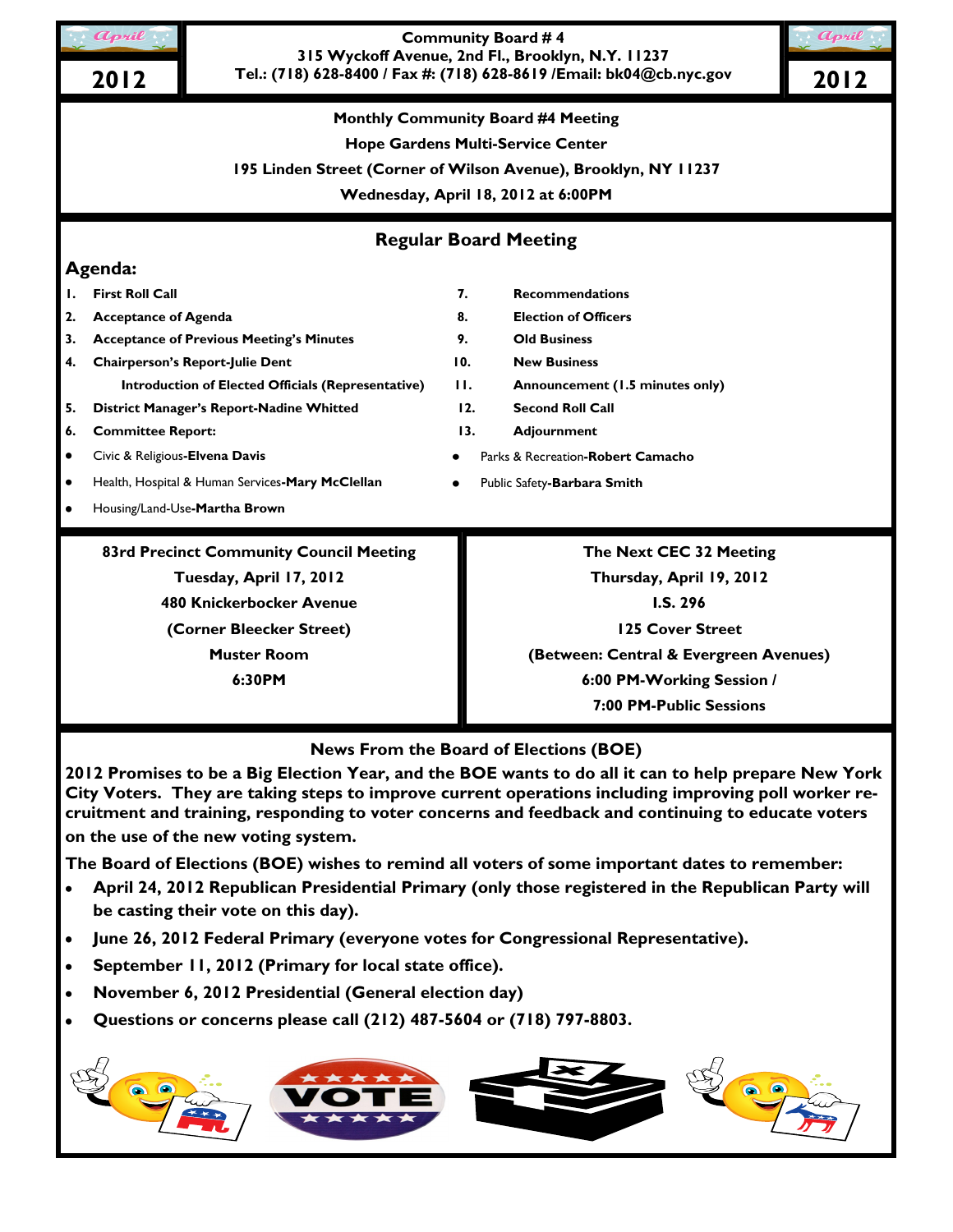

## **Community Board # 4 315 Wyckoff Avenue, 2nd Fl., Brooklyn, N.Y. 11237 Tel.: (718) 628-8400 / Fax #: (718) 628-8619 /Email: bk04@cb.nyc.gov 2012 2012**

**Monthly Community Board #4 Meeting**

**Hope Gardens Multi-Service Center**

**195 Linden Street (Corner of Wilson Avenue), Brooklyn, NY 11237**

**Wednesday, April 18, 2012 at 6:00PM**

**Regular Board Meeting**

# **Agenda:**

- **2. Acceptance of Agenda 8. Election of Officers**
- **3. Acceptance of Previous Meeting's Minutes 9. Old Business**
- **4. Chairperson's Report-Julie Dent 10. New Business**
- **5. District Manager's Report-Nadine Whitted 12. Second Roll Call**
- **6. Committee Report: 13. Adjournment**
- Civic & Religious**-Elvena Davis**
- Health, Hospital & Human Services**-Mary McClellan**  $\bullet$
- Housing/Land-Use**-Martha Brown**

**83rd Precinct Community Council Meeting Tuesday, April 17, 2012 480 Knickerbocker Avenue (Corner Bleecker Street) Muster Room 6:30PM**

### **1. First Roll Call 7. Recommendations**

- 
- 
- 
- **Introduction of Elected Officials (Representative) 11. Announcement (1.5 minutes only)**
	-
	-
	- Parks & Recreation**-Robert Camacho**
	- Public Safety**-Barbara Smith**

**The Next CEC 32 Meeting Thursday, April 19, 2012 I.S. 296 125 Cover Street (Between: Central & Evergreen Avenues) 6:00 PM-Working Session / 7:00 PM-Public Sessions**

**News From the Board of Elections (BOE)**

**2012 Promises to be a Big Election Year, and the BOE wants to do all it can to help prepare New York City Voters. They are taking steps to improve current operations including improving poll worker recruitment and training, responding to voter concerns and feedback and continuing to educate voters on the use of the new voting system.**

**The Board of Elections (BOE) wishes to remind all voters of some important dates to remember:**

- **April 24, 2012 Republican Presidential Primary (only those registered in the Republican Party will be casting their vote on this day).**
- **June 26, 2012 Federal Primary (everyone votes for Congressional Representative).**
- **September 11, 2012 (Primary for local state office).**
- **November 6, 2012 Presidential (General election day)**
- **Questions or concerns please call (212) 487-5604 or (718) 797-8803.**

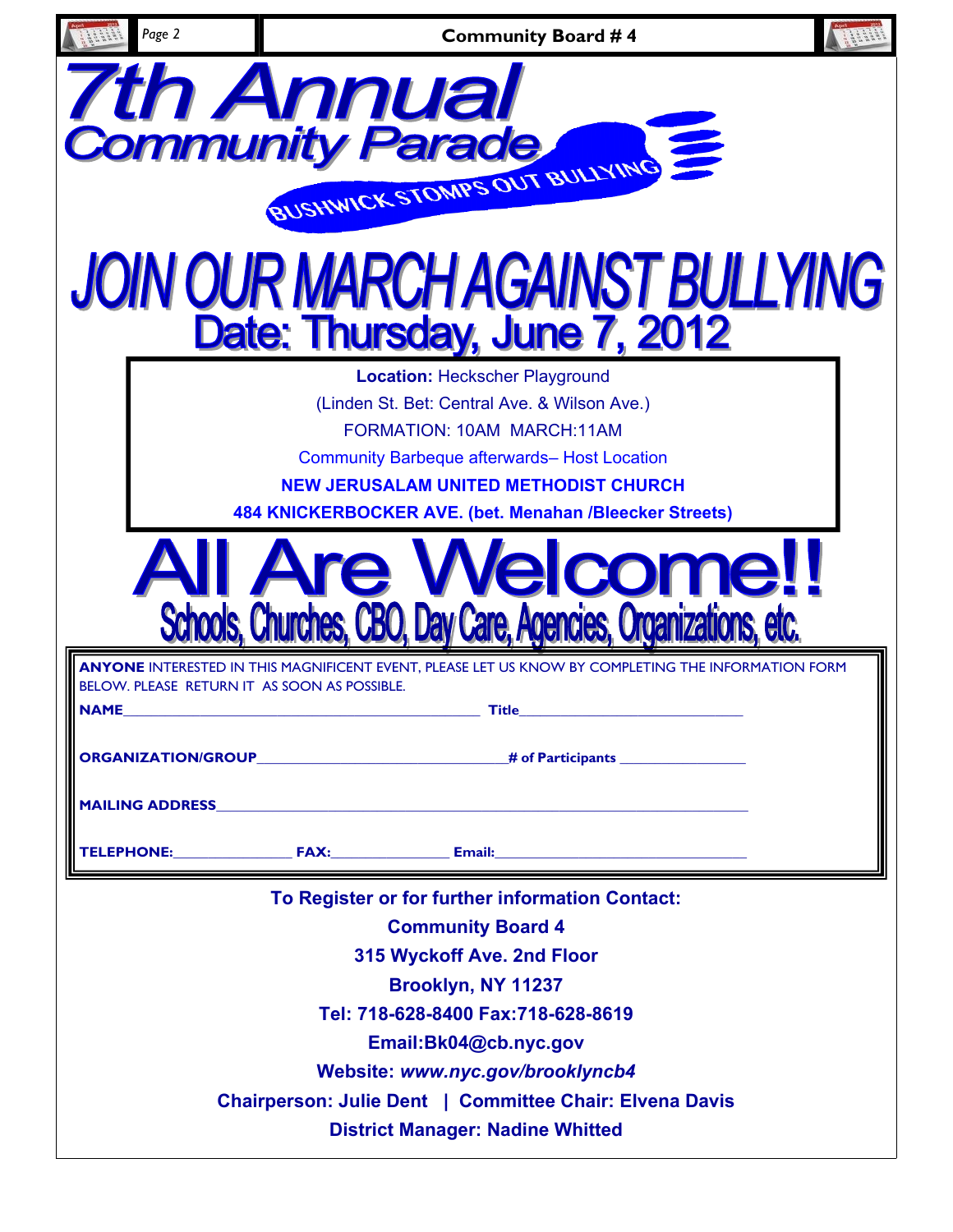| Page 2                                              | <b>Community Board #4</b>                                                                                                                                                                                                                                                                                                                |  |
|-----------------------------------------------------|------------------------------------------------------------------------------------------------------------------------------------------------------------------------------------------------------------------------------------------------------------------------------------------------------------------------------------------|--|
| <b>7th Annual</b><br><b>Community Parade</b>        | BUSHWICK STOMPS OUT BULLYING<br>JOIN OUR MARCH AGAINST BULLYING                                                                                                                                                                                                                                                                          |  |
|                                                     | Date: Thursday, June 7, 2012                                                                                                                                                                                                                                                                                                             |  |
|                                                     | <b>Location: Heckscher Playground</b><br>(Linden St. Bet: Central Ave. & Wilson Ave.)<br>FORMATION: 10AM MARCH:11AM<br><b>Community Barbeque afterwards- Host Location</b><br><b>NEW JERUSALAM UNITED METHODIST CHURCH</b><br>484 KNICKERBOCKER AVE. (bet. Menahan /Bleecker Streets)                                                    |  |
|                                                     | Are Welcome!<br>Schools, Churches, CBO, Day Care, Agencies, Organizations, etc.                                                                                                                                                                                                                                                          |  |
| BELOW. PLEASE RETURN IT AS SOON AS POSSIBLE.<br>AME | ANYONE INTERESTED IN THIS MAGNIFICENT EVENT, PLEASE LET US KNOW BY COMPLETING THE INFORMATION FORM<br>____ Title_                                                                                                                                                                                                                        |  |
|                                                     |                                                                                                                                                                                                                                                                                                                                          |  |
|                                                     | TELEPHONE: FAX: Email: Email:                                                                                                                                                                                                                                                                                                            |  |
|                                                     | To Register or for further information Contact:<br><b>Community Board 4</b><br>315 Wyckoff Ave. 2nd Floor<br>Brooklyn, NY 11237<br>Tel: 718-628-8400 Fax:718-628-8619<br>Email:Bk04@cb.nyc.gov<br>Website: www.nyc.gov/brooklyncb4<br>Chairperson: Julie Dent   Committee Chair: Elvena Davis<br><b>District Manager: Nadine Whitted</b> |  |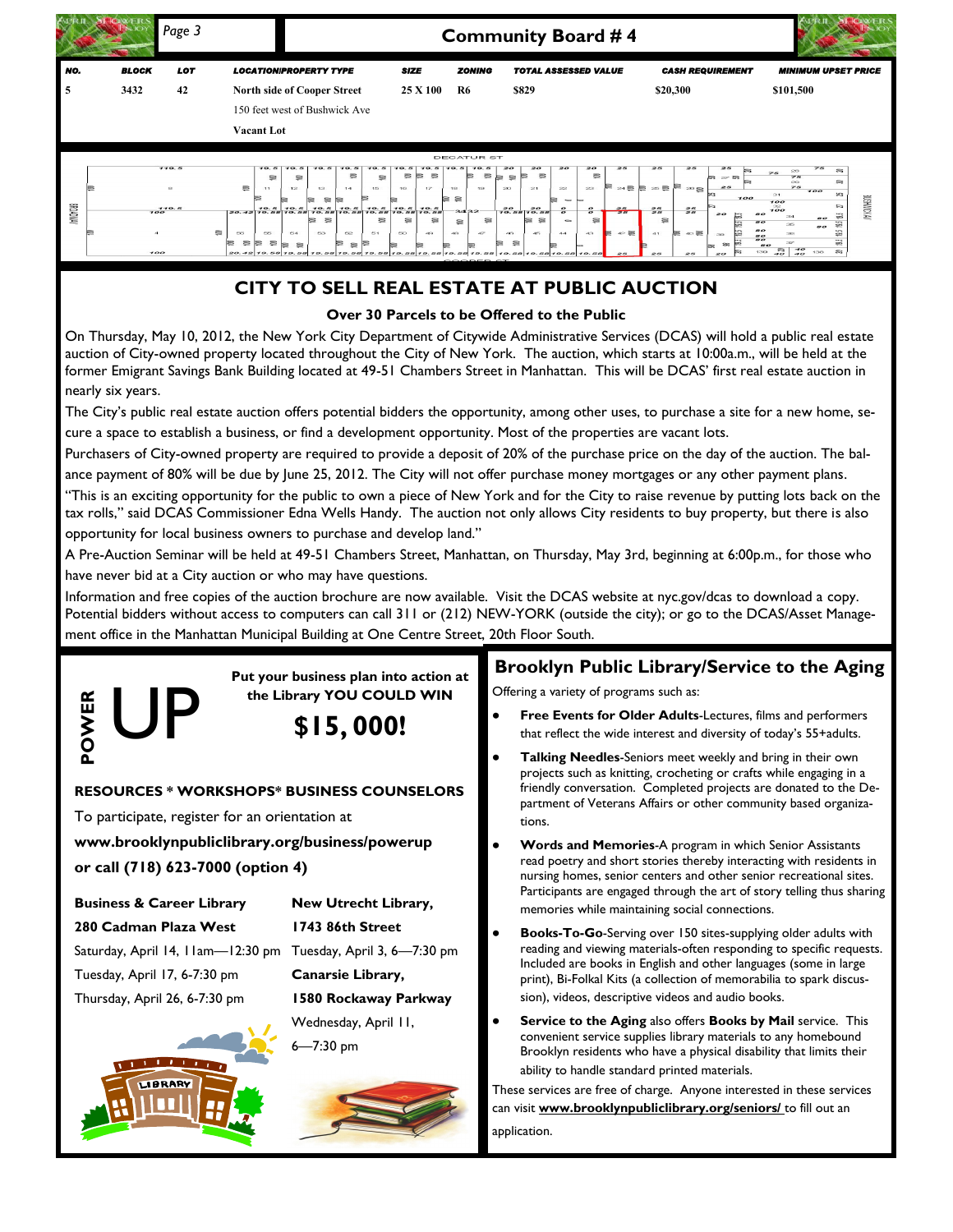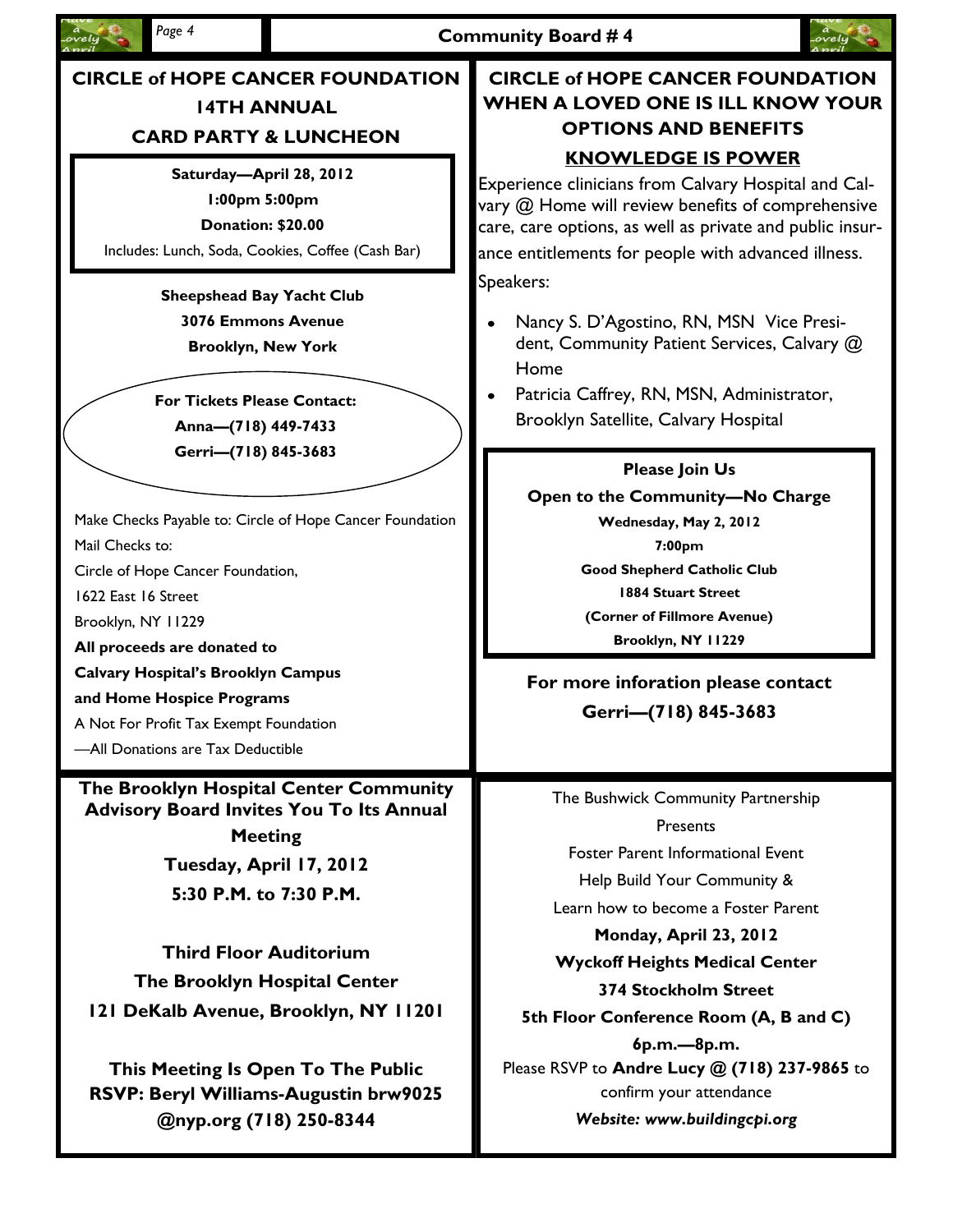



# **CIRCLE of HOPE CANCER FOUNDATION 14TH ANNUAL CARD PARTY & LUNCHEON**

# **Saturday—April 28, 2012**

**1:00pm 5:00pm**

**Donation: \$20.00**

Includes: Lunch, Soda, Cookies, Coffee (Cash Bar)

**Sheepshead Bay Yacht Club 3076 Emmons Avenue Brooklyn, New York**

**For Tickets Please Contact: Anna—(718) 449-7433 Gerri—(718) 845-3683**

Make Checks Payable to: Circle of Hope Cancer Foundation Mail Checks to:

Circle of Hope Cancer Foundation,

1622 East 16 Street

Brooklyn, NY 11229

**All proceeds are donated to** 

**Calvary Hospital's Brooklyn Campus** 

**and Home Hospice Programs**

A Not For Profit Tax Exempt Foundation

—All Donations are Tax Deductible

**The Brooklyn Hospital Center Community Advisory Board Invites You To Its Annual Meeting**

**Tuesday, April 17, 2012 5:30 P.M. to 7:30 P.M.**

**Third Floor Auditorium The Brooklyn Hospital Center 121 DeKalb Avenue, Brooklyn, NY 11201**

**This Meeting Is Open To The Public RSVP: Beryl Williams-Augustin brw9025 @nyp.org (718) 250-8344**

# **CIRCLE of HOPE CANCER FOUNDATION WHEN A LOVED ONE IS ILL KNOW YOUR OPTIONS AND BENEFITS KNOWLEDGE IS POWER**

Experience clinicians from Calvary Hospital and Calvary @ Home will review benefits of comprehensive care, care options, as well as private and public insurance entitlements for people with advanced illness. Speakers:

- Nancy S. D'Agostino, RN, MSN Vice President, Community Patient Services, Calvary @ Home
- Patricia Caffrey, RN, MSN, Administrator, Brooklyn Satellite, Calvary Hospital

**Please Join Us** 

**Open to the Community—No Charge Wednesday, May 2, 2012 7:00pm Good Shepherd Catholic Club 1884 Stuart Street (Corner of Fillmore Avenue) Brooklyn, NY 11229**

# **For more inforation please contact Gerri—(718) 845-3683**

The Bushwick Community Partnership **Presents** Foster Parent Informational Event Help Build Your Community & Learn how to become a Foster Parent **Monday, April 23, 2012 Wyckoff Heights Medical Center 374 Stockholm Street 5th Floor Conference Room (A, B and C) 6p.m.—8p.m.** Please RSVP to **Andre Lucy @ (718) 237-9865** to confirm your attendance *Website: www.buildingcpi.org*